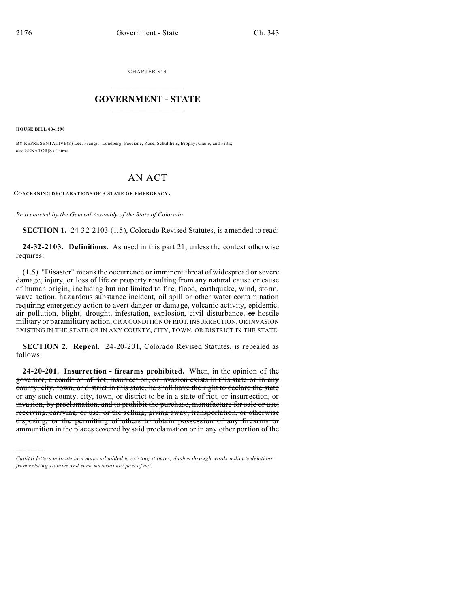CHAPTER 343  $\overline{\phantom{a}}$  , where  $\overline{\phantom{a}}$ 

## **GOVERNMENT - STATE**  $\_$   $\_$   $\_$   $\_$   $\_$   $\_$   $\_$   $\_$   $\_$

**HOUSE BILL 03-1290**

)))))

BY REPRESENTATIVE(S) Lee, Frangas, Lundberg, Paccione, Rose, Schultheis, Brophy, Crane, and Fritz; also SENATOR(S) Cairns.

## AN ACT

**CONCERNING DECLARATIONS OF A STATE OF EMERGENCY .**

*Be it enacted by the General Assembly of the State of Colorado:*

**SECTION 1.** 24-32-2103 (1.5), Colorado Revised Statutes, is amended to read:

**24-32-2103. Definitions.** As used in this part 21, unless the context otherwise requires:

(1.5) "Disaster" means the occurrence or imminent threat of widespread or severe damage, injury, or loss of life or property resulting from any natural cause or cause of human origin, including but not limited to fire, flood, earthquake, wind, storm, wave action, hazardous substance incident, oil spill or other water contamination requiring emergency action to avert danger or damage, volcanic activity, epidemic, air pollution, blight, drought, infestation, explosion, civil disturbance, or hostile military or paramilitary action, OR A CONDITION OFRIOT, INSURRECTION, OR INVASION EXISTING IN THE STATE OR IN ANY COUNTY, CITY, TOWN, OR DISTRICT IN THE STATE.

**SECTION 2. Repeal.** 24-20-201, Colorado Revised Statutes, is repealed as follows:

**24-20-201. Insurrection - firearms prohibited.** When, in the opinion of the governor, a condition of riot, insurrection, or invasion exists in this state or in any county, city, town, or district in this state, he shall have the right to declare the state or any such county, city, town, or district to be in a state of riot, or insurrection, or invasion, by proclamation, and to prohibit the purchase, manufacture for sale or use, receiving, carrying, or use, or the selling, giving away, transportation, or otherwise disposing, or the permitting of others to obtain possession of any firearms or ammunition in the places covered by said proclamation or in any other portion of the

*Capital letters indicate new material added to existing statutes; dashes through words indicate deletions from e xistin g statu tes a nd such ma teria l no t pa rt of ac t.*